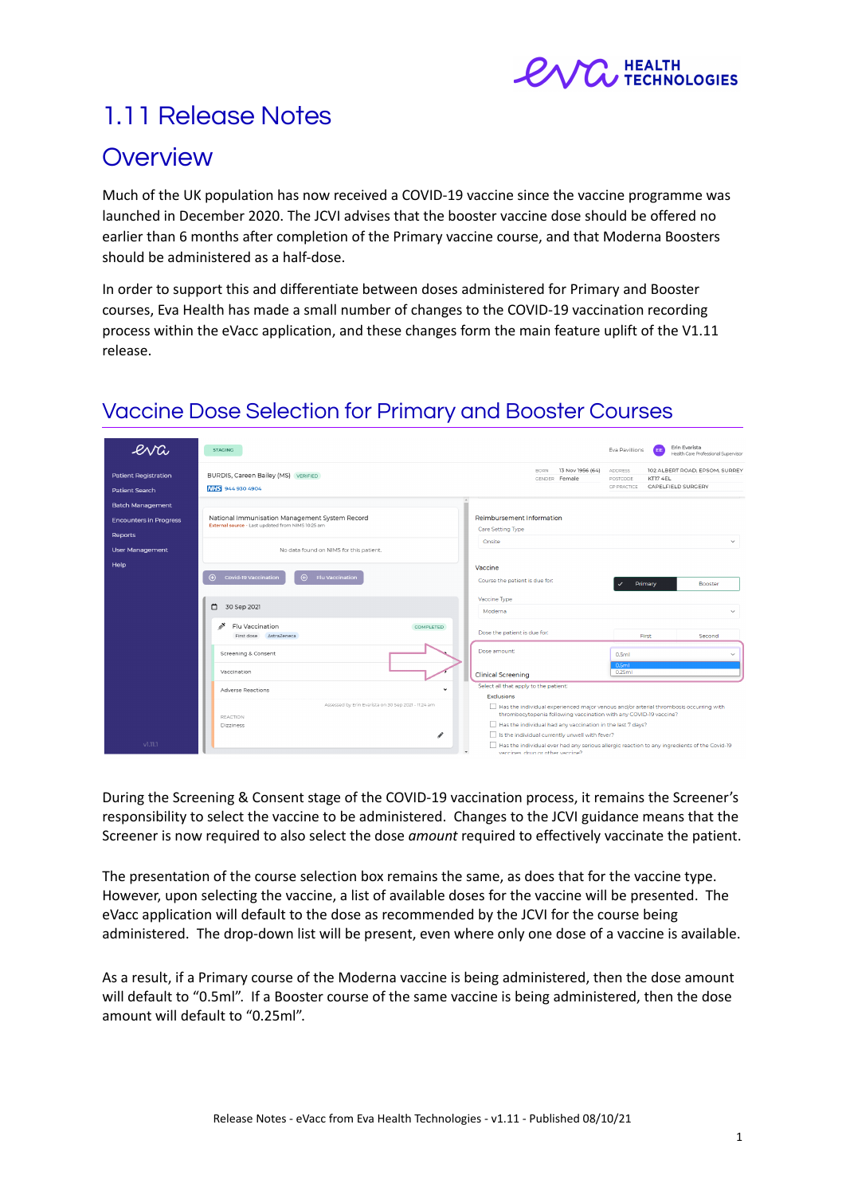

# 1.11 Release Notes

## **Overview**

Much of the UK population has now received a COVID-19 vaccine since the vaccine programme was launched in December 2020. The JCVI advises that the booster vaccine dose should be offered no earlier than 6 months after completion of the Primary vaccine course, and that Moderna Boosters should be administered as a half-dose.

In order to support this and differentiate between doses administered for Primary and Booster courses, Eva Health has made a small number of changes to the COVID-19 vaccination recording process within the eVacc application, and these changes form the main feature uplift of the V1.11 release.

| eva                           | <b>STAGING</b>                                                                                      |                                                                                                                                                            | Erin Evarista<br>Eva Pavillions<br>EE<br>Health Care Professional Supervisor                 |
|-------------------------------|-----------------------------------------------------------------------------------------------------|------------------------------------------------------------------------------------------------------------------------------------------------------------|----------------------------------------------------------------------------------------------|
| <b>Patient Registration</b>   | BURDIS, Careen Bailey (MS) VERIFIED                                                                 | 13 Nov 1956 (64)<br><b>BORN</b><br>GENDER Female                                                                                                           | 102 ALBERT ROAD, EPSOM, SURREY<br><b>ADDRESS</b><br>KT17 4EL<br>POSTCODE                     |
|                               | NHS 944 930 4904                                                                                    |                                                                                                                                                            | CAPELFIELD SURGERY<br><b>GP PRACTICE</b>                                                     |
| Patient Search                |                                                                                                     |                                                                                                                                                            |                                                                                              |
| <b>Batch Management</b>       |                                                                                                     |                                                                                                                                                            |                                                                                              |
| <b>Encounters in Progress</b> | National Immunisation Management System Record<br>External source - Last updated from NIMS 10:25 am | Reimbursement Information                                                                                                                                  |                                                                                              |
| Reports                       |                                                                                                     | Care Setting Type                                                                                                                                          |                                                                                              |
|                               |                                                                                                     | Onsite                                                                                                                                                     | $\checkmark$                                                                                 |
| <b>User Management</b>        | No data found on NIMS for this patient.                                                             |                                                                                                                                                            |                                                                                              |
| Help                          |                                                                                                     | Vaccine                                                                                                                                                    |                                                                                              |
|                               | <b>Covid-19 Vaccination</b><br>$\bigoplus$<br><b>Flu Vaccination</b><br>$\bigoplus$                 | Course the patient is due for:                                                                                                                             | Primary<br>Booster                                                                           |
|                               |                                                                                                     | Vaccine Type                                                                                                                                               |                                                                                              |
|                               | ▭<br>30 Sep 2021                                                                                    | Moderna                                                                                                                                                    | $\checkmark$                                                                                 |
|                               | ◢<br>Flu Vaccination<br><b>COMPLETED</b><br>First dose AstraZeneca                                  | Dose the patient is due for:                                                                                                                               | First<br>Second                                                                              |
|                               | Screening & Consent                                                                                 | Dose amount:                                                                                                                                               | 0.5mL<br>$\checkmark$                                                                        |
|                               | Vaccination                                                                                         | <b>Clinical Screening</b>                                                                                                                                  | 0.5ml<br>0.25ml                                                                              |
|                               | <b>Adverse Reactions</b><br>$\ddot{}$                                                               | Select all that apply to the patient:                                                                                                                      |                                                                                              |
|                               |                                                                                                     | <b>Exclusions</b>                                                                                                                                          |                                                                                              |
|                               | Assessed by Erin Evarista on 30 Sep 2021 - 11:24 am<br>REACTION                                     | Has the individual experienced major venous and/or arterial thrombosis occurring with<br>thrombocytopenia following vaccination with any COVID-19 vaccine? |                                                                                              |
|                               | Dizziness                                                                                           | Has the individual had any vaccination in the last 7 days?                                                                                                 |                                                                                              |
|                               |                                                                                                     | Is the individual currently unwell with fever?                                                                                                             |                                                                                              |
| V1.11.1                       |                                                                                                     | vaccines, drug or other vaccine?                                                                                                                           | Has the individual ever had any serious allergic reaction to any ingredients of the Covid-19 |

# Vaccine Dose Selection for Primary and Booster Courses

During the Screening & Consent stage of the COVID-19 vaccination process, it remains the Screener's responsibility to select the vaccine to be administered. Changes to the JCVI guidance means that the Screener is now required to also select the dose *amount* required to effectively vaccinate the patient.

The presentation of the course selection box remains the same, as does that for the vaccine type. However, upon selecting the vaccine, a list of available doses for the vaccine will be presented. The eVacc application will default to the dose as recommended by the JCVI for the course being administered. The drop-down list will be present, even where only one dose of a vaccine is available.

As a result, if a Primary course of the Moderna vaccine is being administered, then the dose amount will default to "0.5ml". If a Booster course of the same vaccine is being administered, then the dose amount will default to "0.25ml".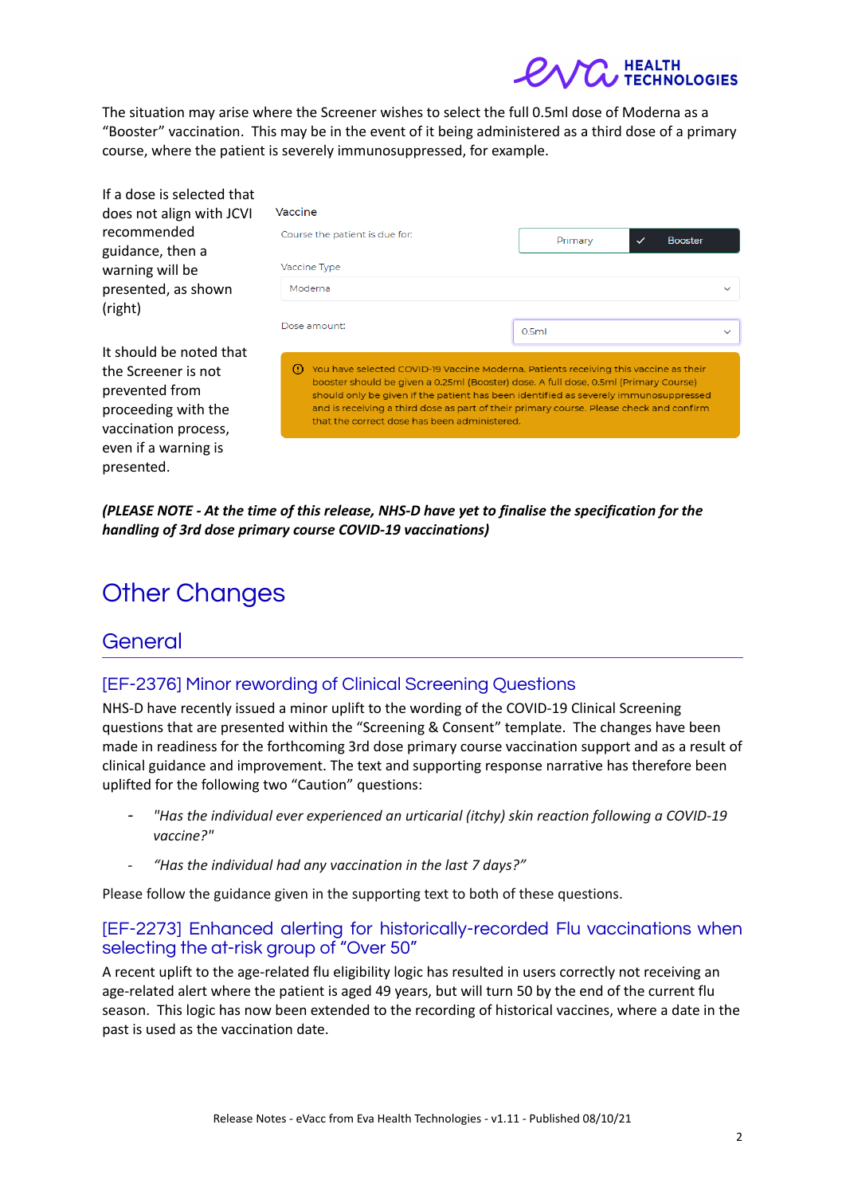The situation may arise where the Screener wishes to select the full 0.5ml dose of Moderna as a "Booster" vaccination. This may be in the event of it being administered as a third dose of a primary course, where the patient is severely immunosuppressed, for example.

| If a dose is selected that                                                                                                              |                                                                                                                                                                                                                                                                                                                                                                                                                      |                                           |  |
|-----------------------------------------------------------------------------------------------------------------------------------------|----------------------------------------------------------------------------------------------------------------------------------------------------------------------------------------------------------------------------------------------------------------------------------------------------------------------------------------------------------------------------------------------------------------------|-------------------------------------------|--|
| does not align with JCVI                                                                                                                | Vaccine                                                                                                                                                                                                                                                                                                                                                                                                              |                                           |  |
| recommended<br>guidance, then a                                                                                                         | Course the patient is due for:                                                                                                                                                                                                                                                                                                                                                                                       | Primary<br><b>Booster</b><br>$\checkmark$ |  |
| warning will be                                                                                                                         | Vaccine Type                                                                                                                                                                                                                                                                                                                                                                                                         |                                           |  |
| presented, as shown<br>(right)                                                                                                          | Moderna                                                                                                                                                                                                                                                                                                                                                                                                              |                                           |  |
|                                                                                                                                         | Dose amount:                                                                                                                                                                                                                                                                                                                                                                                                         | 0.5ml                                     |  |
| It should be noted that<br>the Screener is not<br>prevented from<br>proceeding with the<br>vaccination process,<br>even if a warning is | You have selected COVID-19 Vaccine Moderna. Patients receiving this vaccine as their<br>⊙<br>booster should be given a 0.25ml (Booster) dose. A full dose, 0.5ml (Primary Course)<br>should only be given if the patient has been identified as severely immunosuppressed<br>and is receiving a third dose as part of their primary course. Please check and confirm<br>that the correct dose has been administered. |                                           |  |

*(PLEASE NOTE - At the time of this release, NHS-D have yet to finalise the specification for the handling of 3rd dose primary course COVID-19 vaccinations)*

# Other Changes

## General

presented.

#### [EF-2376] Minor rewording of Clinical Screening Questions

NHS-D have recently issued a minor uplift to the wording of the COVID-19 Clinical Screening questions that are presented within the "Screening & Consent" template. The changes have been made in readiness for the forthcoming 3rd dose primary course vaccination support and as a result of clinical guidance and improvement. The text and supporting response narrative has therefore been uplifted for the following two "Caution" questions:

- *- "Has the individual ever experienced an urticarial (itchy) skin reaction following a COVID-19 vaccine?"*
- *- "Has the individual had any vaccination in the last 7 days?"*

Please follow the guidance given in the supporting text to both of these questions.

#### [EF-2273] Enhanced alerting for historically-recorded Flu vaccinations when selecting the at-risk group of "Over 50"

A recent uplift to the age-related flu eligibility logic has resulted in users correctly not receiving an age-related alert where the patient is aged 49 years, but will turn 50 by the end of the current flu season. This logic has now been extended to the recording of historical vaccines, where a date in the past is used as the vaccination date.

**OLOGIES**